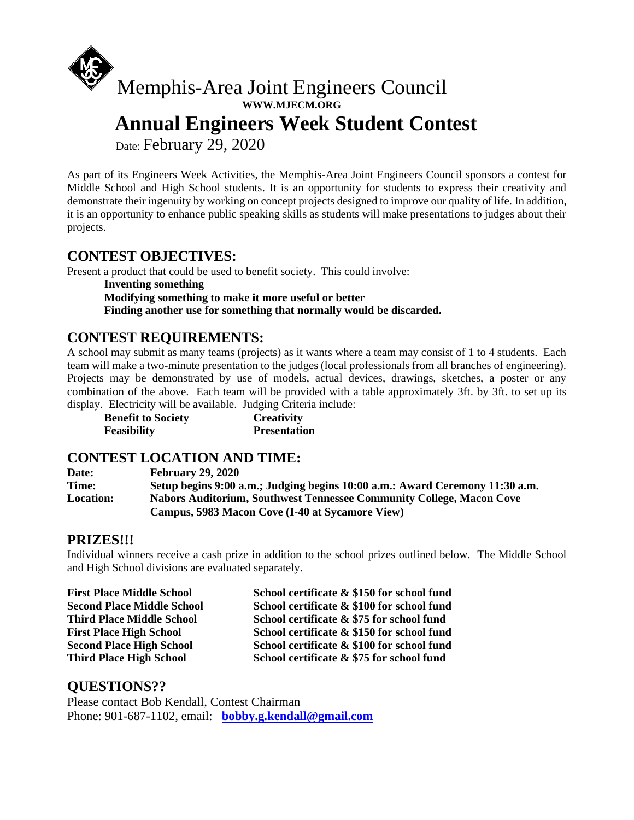

**WWW.MJECM.ORG**

 **Annual Engineers Week Student Contest**

Date: February 29, 2020

As part of its Engineers Week Activities, the Memphis-Area Joint Engineers Council sponsors a contest for Middle School and High School students. It is an opportunity for students to express their creativity and demonstrate their ingenuity by working on concept projects designed to improve our quality of life. In addition, it is an opportunity to enhance public speaking skills as students will make presentations to judges about their projects.

#### **CONTEST OBJECTIVES:**

Present a product that could be used to benefit society. This could involve:

**Inventing something**

**Modifying something to make it more useful or better**

**Finding another use for something that normally would be discarded.**

## **CONTEST REQUIREMENTS:**

A school may submit as many teams (projects) as it wants where a team may consist of 1 to 4 students. Each team will make a two-minute presentation to the judges (local professionals from all branches of engineering). Projects may be demonstrated by use of models, actual devices, drawings, sketches, a poster or any combination of the above. Each team will be provided with a table approximately 3ft. by 3ft. to set up its display. Electricity will be available. Judging Criteria include:

**Benefit to Society Creativity Feasibility Presentation**

#### **CONTEST LOCATION AND TIME:**

**Date: February 29, 2020 Time: Setup begins 9:00 a.m.; Judging begins 10:00 a.m.: Award Ceremony 11:30 a.m. Location: Nabors Auditorium, Southwest Tennessee Community College, Macon Cove Campus, 5983 Macon Cove (I-40 at Sycamore View)**

#### **PRIZES!!!**

Individual winners receive a cash prize in addition to the school prizes outlined below. The Middle School and High School divisions are evaluated separately.

**First Place Middle School School certificate & \$150 for school fund Second Place Middle School School certificate & \$100 for school fund Third Place Middle School School certificate & \$75 for school fund** First Place High School School School certificate & \$150 for school fund **Second Place High School School certificate & \$100 for school fund Third Place High School School certificate & \$75 for school fund**

## **QUESTIONS??**

Please contact Bob Kendall, Contest Chairman Phone: 901-687-1102, email: **[bobby.g.kendall@gmail.com](mailto:bobby.g.kendall@gmail.com)**